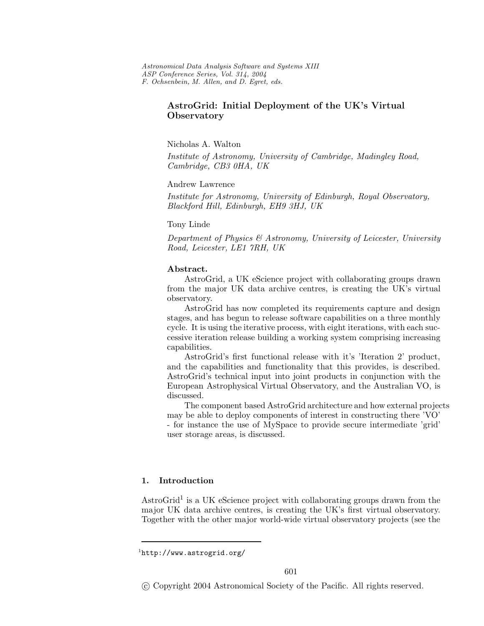## **AstroGrid: Initial Deployment of the UK's Virtual Observatory**

Nicholas A. Walton

*Institute of Astronomy, University of Cambridge, Madingley Road, Cambridge, CB3 0HA, UK*

Andrew Lawrence

*Institute for Astronomy, University of Edinburgh, Royal Observatory, Blackford Hill, Edinburgh, EH9 3HJ, UK*

Tony Linde

*Department of Physics & Astronomy, University of Leicester, University Road, Leicester, LE1 7RH, UK*

### **Abstract.**

AstroGrid, a UK eScience project with collaborating groups drawn fromthe major UK data archive centres, is creating the UK's virtual observatory.

AstroGrid has now completed its requirements capture and design stages, and has begun to release software capabilities on a three monthly cycle. It is using the iterative process, with eight iterations, with each successive iteration release building a working systemcomprising increasing capabilities.

AstroGrid's first functional release with it's 'Iteration 2' product, and the capabilities and functionality that this provides, is described. AstroGrid's technical input into joint products in conjunction with the European Astrophysical Virtual Observatory, and the Australian VO, is discussed.

The component based AstroGrid architecture and how external projects may be able to deploy components of interest in constructing there 'VO' - for instance the use of MySpace to provide secure intermediate 'grid' user storage areas, is discussed.

# **1. Introduction**

AstroGrid<sup>1</sup> is a UK eScience project with collaborating groups drawn from the major UK data archive centres, is creating the UK's first virtual observatory. Together with the other major world-wide virtual observatory projects (see the

<sup>&</sup>lt;sup>1</sup>http://www.astrogrid.org/

c Copyright 2004 Astronomical Society of the Pacific. All rights reserved.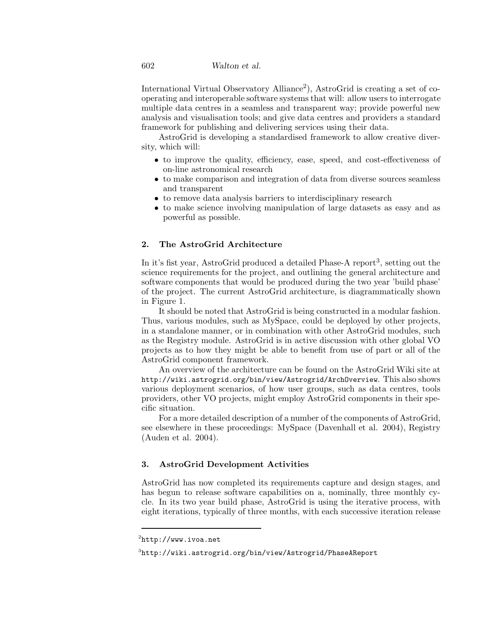International Virtual Observatory Alliance<sup>2</sup>), AstroGrid is creating a set of cooperating and interoperable software systems that will: allow users to interrogate multiple data centres in a seamless and transparent way; provide powerful new analysis and visualisation tools; and give data centres and providers a standard framework for publishing and delivering services using their data.

AstroGrid is developing a standardised framework to allow creative diversity, which will:

- to improve the quality, efficiency, ease, speed, and cost-effectiveness of on-line astronomical research
- to make comparison and integration of data from diverse sources seamless and transparent
- to remove data analysis barriers to interdisciplinary research
- to make science involving manipulation of large datasets as easy and as powerful as possible.

### **2. The AstroGrid Architecture**

In it's fist year, AstroGrid produced a detailed Phase-A report<sup>3</sup>, setting out the science requirements for the project, and outlining the general architecture and software components that would be produced during the two year 'build phase' of the project. The current AstroGrid architecture, is diagrammatically shown in Figure 1.

It should be noted that AstroGrid is being constructed in a modular fashion. Thus, various modules, such as MySpace, could be deployed by other projects, in a standalone manner, or in combination with other AstroGrid modules, such as the Registry module. AstroGrid is in active discussion with other global VO projects as to how they might be able to benefit from use of part or all of the AstroGrid component framework.

An overview of the architecture can be found on the AstroGrid Wiki site at http://wiki.astrogrid.org/bin/view/Astrogrid/ArchOverview. This also shows various deployment scenarios, of how user groups, such as data centres, tools providers, other VO projects, might employ AstroGrid components in their specific situation.

For a more detailed description of a number of the components of AstroGrid, see elsewhere in these proceedings: MySpace (Davenhall et al. 2004), Registry (Auden et al. 2004).

## **3. AstroGrid Development Activities**

AstroGrid has now completed its requirements capture and design stages, and has begun to release software capabilities on a, nominally, three monthly cycle. In its two year build phase, AstroGrid is using the iterative process, with eight iterations, typically of three months, with each successive iteration release

<sup>2</sup>http://www.ivoa.net

<sup>3</sup>http://wiki.astrogrid.org/bin/view/Astrogrid/PhaseAReport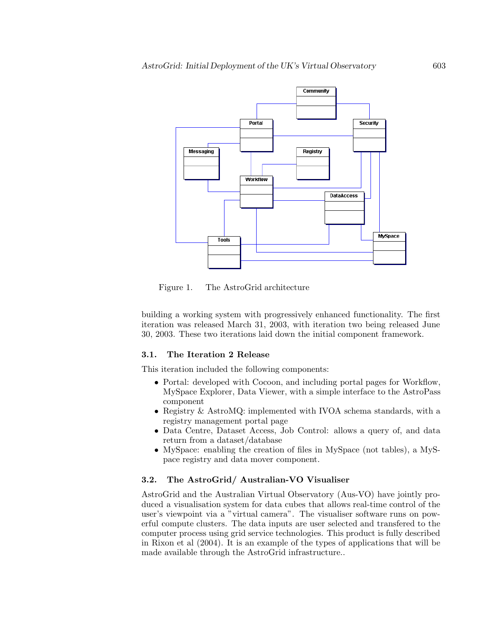

Figure 1. The AstroGrid architecture

building a working systemwith progressively enhanced functionality. The first iteration was released March 31, 2003, with iteration two being released June 30, 2003. These two iterations laid down the initial component framework.

#### **3.1. The Iteration 2 Release**

This iteration included the following components:

- Portal: developed with Cocoon, and including portal pages for Workflow, MySpace Explorer, Data Viewer, with a simple interface to the AstroPass component
- Registry & AstroMQ: implemented with IVOA schema standards, with a registry management portal page
- Data Centre, Dataset Access, Job Control: allows a query of, and data return from a dataset/database
- MySpace: enabling the creation of files in MySpace (not tables), a MySpace registry and data mover component.

## **3.2. The AstroGrid/ Australian-VO Visualiser**

AstroGrid and the Australian Virtual Observatory (Aus-VO) have jointly produced a visualisation system for data cubes that allows real-time control of the user's viewpoint via a "virtual camera". The visualiser software runs on powerful compute clusters. The data inputs are user selected and transfered to the computer process using grid service technologies. This product is fully described in Rixon et al (2004). It is an example of the types of applications that will be made available through the AstroGrid infrastructure..